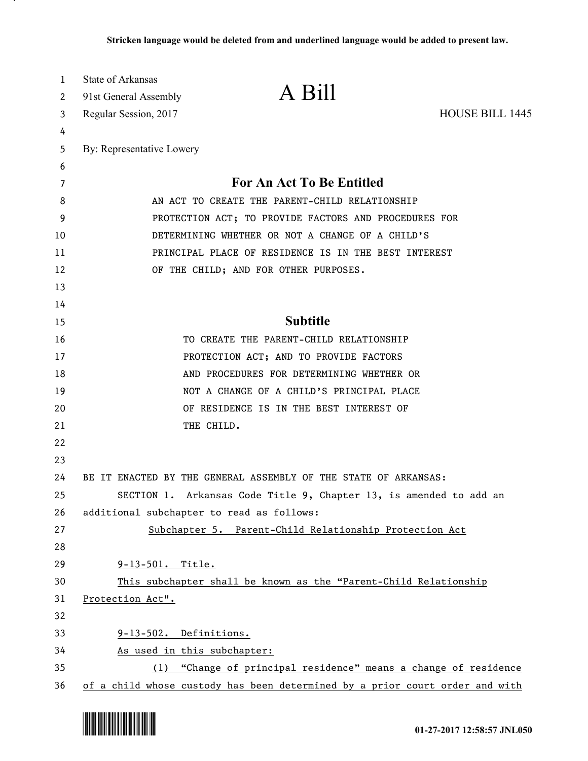| 1        | State of Arkansas                                     |                                                                              |                        |
|----------|-------------------------------------------------------|------------------------------------------------------------------------------|------------------------|
| 2        | 91st General Assembly                                 | A Bill                                                                       |                        |
| 3        | Regular Session, 2017                                 |                                                                              | <b>HOUSE BILL 1445</b> |
| 4        |                                                       |                                                                              |                        |
| 5        | By: Representative Lowery                             |                                                                              |                        |
| 6        |                                                       |                                                                              |                        |
| 7        |                                                       | For An Act To Be Entitled                                                    |                        |
| 8        |                                                       | AN ACT TO CREATE THE PARENT-CHILD RELATIONSHIP                               |                        |
| 9        |                                                       | PROTECTION ACT; TO PROVIDE FACTORS AND PROCEDURES FOR                        |                        |
| 10       |                                                       | DETERMINING WHETHER OR NOT A CHANGE OF A CHILD'S                             |                        |
| 11       |                                                       | PRINCIPAL PLACE OF RESIDENCE IS IN THE BEST INTEREST                         |                        |
| 12       |                                                       | OF THE CHILD; AND FOR OTHER PURPOSES.                                        |                        |
| 13       |                                                       |                                                                              |                        |
| 14       |                                                       |                                                                              |                        |
| 15       |                                                       | <b>Subtitle</b>                                                              |                        |
| 16       |                                                       | TO CREATE THE PARENT-CHILD RELATIONSHIP                                      |                        |
| 17       |                                                       | PROTECTION ACT; AND TO PROVIDE FACTORS                                       |                        |
| 18       |                                                       | AND PROCEDURES FOR DETERMINING WHETHER OR                                    |                        |
| 19       |                                                       | NOT A CHANGE OF A CHILD'S PRINCIPAL PLACE                                    |                        |
| 20       |                                                       | OF RESIDENCE IS IN THE BEST INTEREST OF                                      |                        |
| 21       |                                                       | THE CHILD.                                                                   |                        |
| 22       |                                                       |                                                                              |                        |
| 23       |                                                       |                                                                              |                        |
| 24       |                                                       | BE IT ENACTED BY THE GENERAL ASSEMBLY OF THE STATE OF ARKANSAS:              |                        |
| 25       |                                                       | SECTION 1. Arkansas Code Title 9, Chapter 13, is amended to add an           |                        |
| 26       | additional subchapter to read as follows:             |                                                                              |                        |
| 27       |                                                       | Subchapter 5. Parent-Child Relationship Protection Act                       |                        |
| 28       |                                                       |                                                                              |                        |
| 29       | 9-13-501. Title.                                      |                                                                              |                        |
| 30       |                                                       | This subchapter shall be known as the "Parent-Child Relationship             |                        |
| 31       | Protection Act".                                      |                                                                              |                        |
| 32       |                                                       |                                                                              |                        |
| 33<br>34 | 9-13-502. Definitions.<br>As used in this subchapter: |                                                                              |                        |
| 35       |                                                       | (1) "Change of principal residence" means a change of residence              |                        |
| 36       |                                                       | of a child whose custody has been determined by a prior court order and with |                        |



.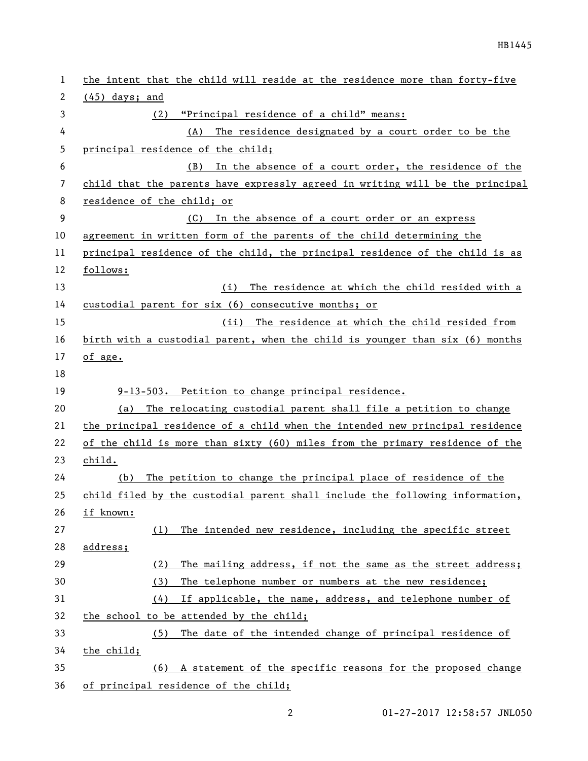| 1  | the intent that the child will reside at the residence more than forty-five   |
|----|-------------------------------------------------------------------------------|
| 2  | $(45)$ days; and                                                              |
| 3  | "Principal residence of a child" means:<br>(2)                                |
| 4  | The residence designated by a court order to be the<br>(A)                    |
| 5  | principal residence of the child;                                             |
| 6  | In the absence of a court order, the residence of the<br>(B)                  |
| 7  | child that the parents have expressly agreed in writing will be the principal |
| 8  | residence of the child; or                                                    |
| 9  | (C) In the absence of a court order or an express                             |
| 10 | agreement in written form of the parents of the child determining the         |
| 11 | principal residence of the child, the principal residence of the child is as  |
| 12 | follows:                                                                      |
| 13 | The residence at which the child resided with a<br>(i)                        |
| 14 | custodial parent for six (6) consecutive months; or                           |
| 15 | (ii) The residence at which the child resided from                            |
| 16 | birth with a custodial parent, when the child is younger than six (6) months  |
| 17 | of age.                                                                       |
| 18 |                                                                               |
| 19 | 9-13-503. Petition to change principal residence.                             |
| 20 | (a) The relocating custodial parent shall file a petition to change           |
| 21 | the principal residence of a child when the intended new principal residence  |
| 22 | of the child is more than sixty (60) miles from the primary residence of the  |
| 23 | child.                                                                        |
| 24 | The petition to change the principal place of residence of the<br>(b)         |
| 25 | child filed by the custodial parent shall include the following information,  |
| 26 | if known:                                                                     |
| 27 | The intended new residence, including the specific street<br>(1)              |
| 28 | address;                                                                      |
| 29 | The mailing address, if not the same as the street address;<br>(2)            |
| 30 | The telephone number or numbers at the new residence;<br>(3)                  |
| 31 | If applicable, the name, address, and telephone number of<br>(4)              |
| 32 | the school to be attended by the child;                                       |
| 33 | The date of the intended change of principal residence of<br>(5)              |
| 34 | the child;                                                                    |
| 35 | A statement of the specific reasons for the proposed change<br>(6)            |
| 36 | of principal residence of the child;                                          |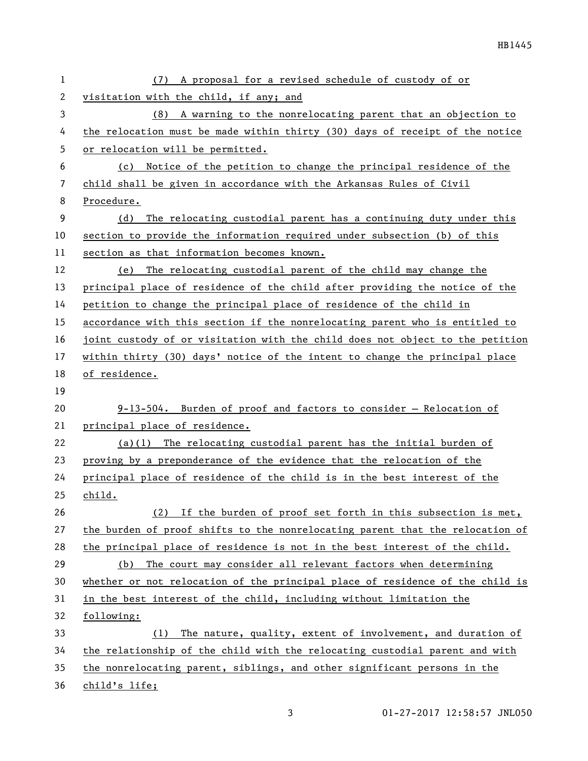| 1  | A proposal for a revised schedule of custody of or<br>(7)                     |
|----|-------------------------------------------------------------------------------|
| 2  | visitation with the child, if any; and                                        |
| 3  | (8) A warning to the nonrelocating parent that an objection to                |
| 4  | the relocation must be made within thirty (30) days of receipt of the notice  |
| 5  | or relocation will be permitted.                                              |
| 6  | Notice of the petition to change the principal residence of the<br>(c)        |
| 7  | child shall be given in accordance with the Arkansas Rules of Civil           |
| 8  | Procedure.                                                                    |
| 9  | (d) The relocating custodial parent has a continuing duty under this          |
| 10 | section to provide the information required under subsection (b) of this      |
| 11 | section as that information becomes known.                                    |
| 12 | The relocating custodial parent of the child may change the<br>(e)            |
| 13 | principal place of residence of the child after providing the notice of the   |
| 14 | petition to change the principal place of residence of the child in           |
| 15 | accordance with this section if the nonrelocating parent who is entitled to   |
| 16 | joint custody of or visitation with the child does not object to the petition |
| 17 | within thirty (30) days' notice of the intent to change the principal place   |
| 18 | of residence.                                                                 |
| 19 |                                                                               |
| 20 | $9-13-504$ . Burden of proof and factors to consider - Relocation of          |
| 21 | principal place of residence.                                                 |
| 22 | $(a)(1)$ The relocating custodial parent has the initial burden of            |
| 23 | proving by a preponderance of the evidence that the relocation of the         |
| 24 | principal place of residence of the child is in the best interest of the      |
| 25 | child.                                                                        |
| 26 | If the burden of proof set forth in this subsection is met,<br>(2)            |
| 27 | the burden of proof shifts to the nonrelocating parent that the relocation of |
| 28 | the principal place of residence is not in the best interest of the child.    |
| 29 | The court may consider all relevant factors when determining<br>(b)           |
| 30 | whether or not relocation of the principal place of residence of the child is |
| 31 | in the best interest of the child, including without limitation the           |
| 32 | following:                                                                    |
| 33 | The nature, quality, extent of involvement, and duration of<br>(1)            |
| 34 | the relationship of the child with the relocating custodial parent and with   |
| 35 | the nonrelocating parent, siblings, and other significant persons in the      |
| 36 | child's life;                                                                 |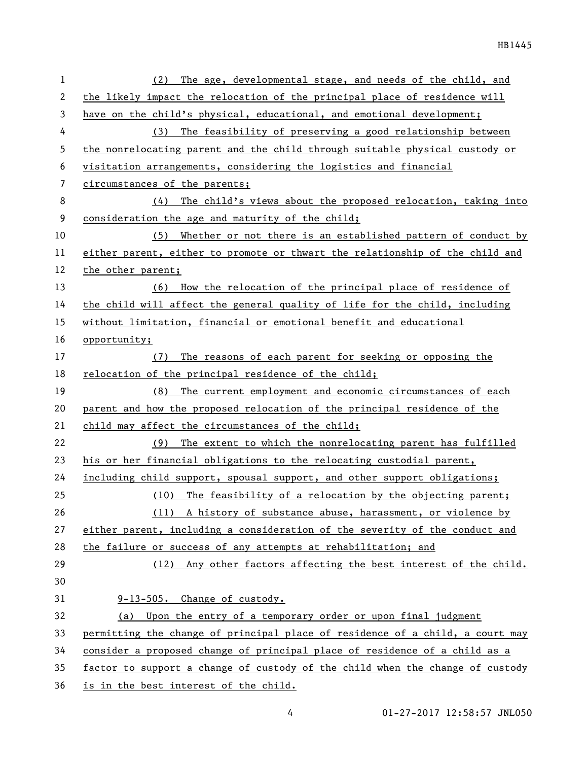| 1  | The age, developmental stage, and needs of the child, and<br>(2)              |
|----|-------------------------------------------------------------------------------|
| 2  | the likely impact the relocation of the principal place of residence will     |
| 3  | have on the child's physical, educational, and emotional development;         |
| 4  | (3) The feasibility of preserving a good relationship between                 |
| 5  | the nonrelocating parent and the child through suitable physical custody or   |
| 6  | visitation arrangements, considering the logistics and financial              |
| 7  | circumstances of the parents;                                                 |
| 8  | (4)<br>The child's views about the proposed relocation, taking into           |
| 9  | consideration the age and maturity of the child;                              |
| 10 | Whether or not there is an established pattern of conduct by<br>(5)           |
| 11 | either parent, either to promote or thwart the relationship of the child and  |
| 12 | the other parent;                                                             |
| 13 | (6) How the relocation of the principal place of residence of                 |
| 14 | the child will affect the general quality of life for the child, including    |
| 15 | without limitation, financial or emotional benefit and educational            |
| 16 | opportunity;                                                                  |
| 17 | The reasons of each parent for seeking or opposing the<br>(7)                 |
| 18 | relocation of the principal residence of the child;                           |
| 19 | (8) The current employment and economic circumstances of each                 |
| 20 | parent and how the proposed relocation of the principal residence of the      |
| 21 | child may affect the circumstances of the child;                              |
| 22 | The extent to which the nonrelocating parent has fulfilled<br>(9)             |
| 23 | his or her financial obligations to the relocating custodial parent,          |
| 24 | including child support, spousal support, and other support obligations;      |
| 25 | (10) The feasibility of a relocation by the objecting parent;                 |
| 26 | (11) A history of substance abuse, harassment, or violence by                 |
| 27 | either parent, including a consideration of the severity of the conduct and   |
| 28 | the failure or success of any attempts at rehabilitation; and                 |
| 29 | (12) Any other factors affecting the best interest of the child.              |
| 30 |                                                                               |
| 31 | 9-13-505. Change of custody.                                                  |
| 32 | Upon the entry of a temporary order or upon final judgment<br>(a)             |
| 33 | permitting the change of principal place of residence of a child, a court may |
| 34 | consider a proposed change of principal place of residence of a child as a    |
| 35 | factor to support a change of custody of the child when the change of custody |
| 36 | is in the best interest of the child.                                         |

01-27-2017 12:58:57 JNL050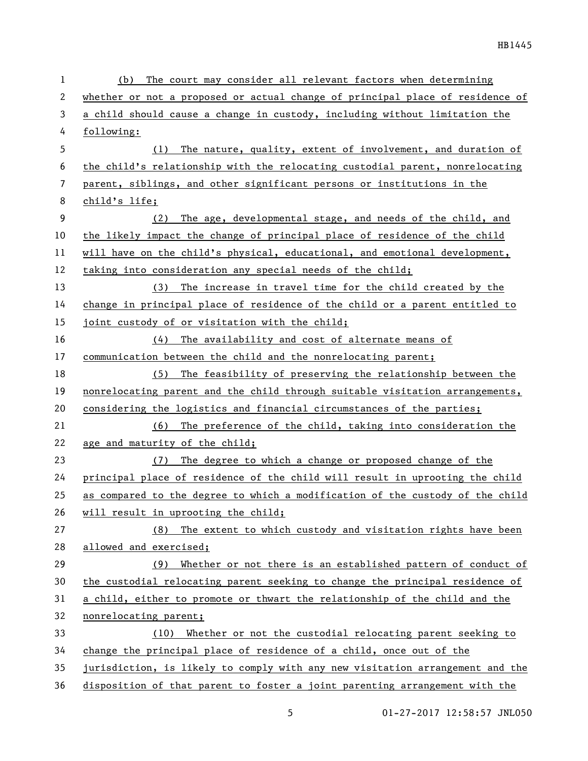| 1  | The court may consider all relevant factors when determining<br>(b)           |
|----|-------------------------------------------------------------------------------|
| 2  | whether or not a proposed or actual change of principal place of residence of |
| 3  | a child should cause a change in custody, including without limitation the    |
| 4  | following:                                                                    |
| 5  | The nature, quality, extent of involvement, and duration of<br>(1)            |
| 6  | the child's relationship with the relocating custodial parent, nonrelocating  |
| 7  | parent, siblings, and other significant persons or institutions in the        |
| 8  | child's life;                                                                 |
| 9  | (2)<br>The age, developmental stage, and needs of the child, and              |
| 10 | the likely impact the change of principal place of residence of the child     |
| 11 | will have on the child's physical, educational, and emotional development,    |
| 12 | taking into consideration any special needs of the child;                     |
| 13 | (3) The increase in travel time for the child created by the                  |
| 14 | change in principal place of residence of the child or a parent entitled to   |
| 15 | joint custody of or visitation with the child;                                |
| 16 | The availability and cost of alternate means of<br>(4)                        |
| 17 | communication between the child and the nonrelocating parent;                 |
| 18 | The feasibility of preserving the relationship between the<br>(5)             |
| 19 | nonrelocating parent and the child through suitable visitation arrangements,  |
| 20 | considering the logistics and financial circumstances of the parties;         |
| 21 | (6) The preference of the child, taking into consideration the                |
| 22 | age and maturity of the child;                                                |
| 23 | (7) The degree to which a change or proposed change of the                    |
| 24 | principal place of residence of the child will result in uprooting the child  |
| 25 | as compared to the degree to which a modification of the custody of the child |
| 26 | will result in uprooting the child;                                           |
| 27 | The extent to which custody and visitation rights have been<br>(8)            |
| 28 | allowed and exercised;                                                        |
| 29 | Whether or not there is an established pattern of conduct of<br>(9)           |
| 30 | the custodial relocating parent seeking to change the principal residence of  |
| 31 | a child, either to promote or thwart the relationship of the child and the    |
| 32 | nonrelocating parent;                                                         |
| 33 | Whether or not the custodial relocating parent seeking to<br>(10)             |
| 34 | change the principal place of residence of a child, once out of the           |
| 35 | jurisdiction, is likely to comply with any new visitation arrangement and the |
| 36 | disposition of that parent to foster a joint parenting arrangement with the   |

5 01-27-2017 12:58:57 JNL050